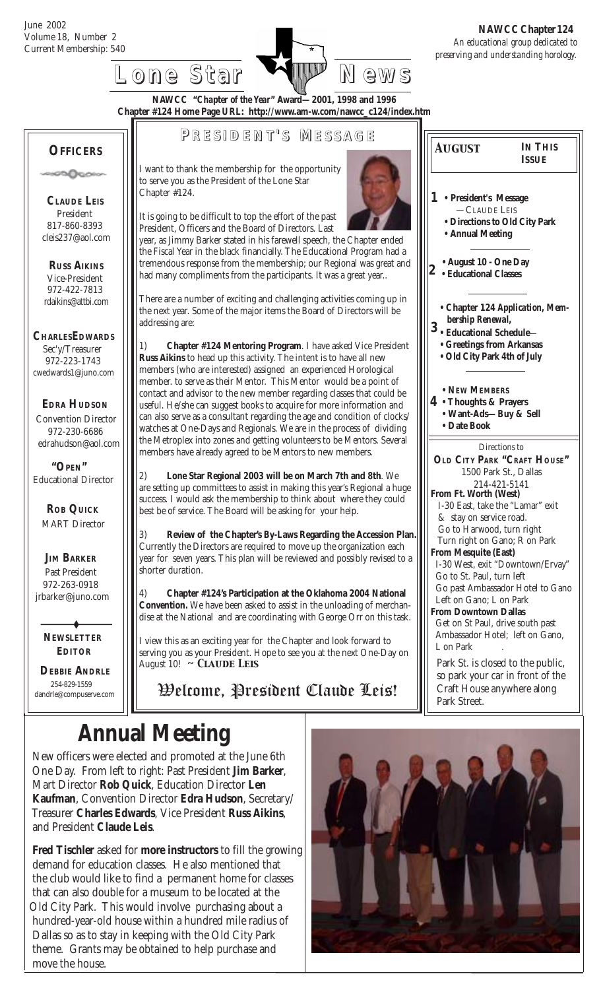**OFFICERS**

ാമികാരം

 **CLAUDE LEIS** President 817-860-8393 cleis237@aol.com

 **RUSS AIKINS** Vice-President 972-422-7813 rdaikins@attbi.com

**CHARLESEDWARDS** Sec'y/Treasurer 972-223-1743 cwedwards1@juno.com

 **EDRA HUDSON** Convention Director 972-230-6686 edrahudson@aol.com

Current Membership: 540 *An educational group dedicated to preserving and understanding horology.*  **NAWCC Chapter 124**

*August*

**IN THIS ISSUE**



**NAWCC "***Chapter of the Year***" Award—2001, 1998 and 1996 Chapter #124 Home Page URL: http://www.am-w.com/nawcc\_c124/index.htm**

#### **P RESIDENT RESIDENT' S M ESSAGE**

I want to thank the membership for the opportunity to serve you as the President of the Lone Star Chapter #124.

It is going to be difficult to top the effort of the past President, Officers and the Board of Directors. Last

year, as Jimmy Barker stated in his farewell speech, the Chapter ended the Fiscal Year in the black financially. The Educational Program had a tremendous response from the membership; our Regional was great and had many compliments from the participants. It was a great year..

There are a number of exciting and challenging activities coming up in the next year. Some of the major items the Board of Directors will be addressing are:

1) **Chapter #124 Mentoring Program**. I have asked Vice President **Russ Aikins** to head up this activity. The intent is to have all new members (who are interested) assigned an experienced Horological member. to serve as their Mentor. This Mentor would be a point of contact and advisor to the new member regarding classes that could be useful. He/she can suggest books to acquire for more information and can also serve as a consultant regarding the age and condition of clocks/ watches at One-Days and Regionals. We are in the process of dividing the Metroplex into zones and getting volunteers to be Mentors. Several members have already agreed to be Mentors to new members.

2) **Lone Star Regional 2003 will be on March 7th and 8th**. We are setting up committees to assist in making this year's Regional a huge success. I would ask the membership to think about where they could best be of service. The Board will be asking for your help.

3) **Review of the Chapter's By-Laws Regarding the Accession Plan.** Currently the Directors are required to move up the organization each year for seven years. This plan will be reviewed and possibly revised to a shorter duration.

4) **Chapter #124's Participation at the Oklahoma 2004 National Convention.** We have been asked to assist in the unloading of merchandise at the National and are coordinating with George Orr on this task.

I view this as an exciting year for the Chapter and look forward to serving you as your President. Hope to see you at the next One-Day on August 10! *~ Claude Leis*

Welcome, President Claude Leis!

# **Annual Meeting**

 **DEBBIE ANDRLE** 254-829-1559 dandrle@compuserve.com

 **NEWSLETTER EDITOR**

 **JIM BARKER** Past President 972-263-0918 jrbarker@juno.com

 **ROB QUICK** MART Director

 **"OPEN"** Educational Director

 New officers were elected and promoted at the June 6th One Day. From left to right: Past President **Jim Barker**, Mart Director **Rob Quick**, Education Director **Len Kaufman**, Convention Director **Edra Hudson**, Secretary/ Treasurer **Charles Edwards**, Vice President **Russ Aikins**, and President **Claude Leis**.

 **Fred Tischler** asked for **more instructors** to fill the growing demand for education classes. He also mentioned that the club would like to find a permanent home for classes that can also double for a museum to be located at the Old City Park. This would involve purchasing about a hundred-year-old house within a hundred mile radius of Dallas so as to stay in keeping with the Old City Park theme. Grants may be obtained to help purchase and move the house.



**• President's Message 1** —CLAUDE LEIS **• Directions to Old City Park • Annual Meeting 4 • Thoughts & Prayers 2** **• Educational Classes • Chapter 124** *Application, Mem bership Renewal,* **• NEW MEMBERS • Want-Ads—Buy & Sell • Date Book 3 • Educational Schedule**— **• August 10 - One Day** Directions to **OLD CITY PARK "CRAFT HOUSE"** 1500 Park St., Dallas 214-421-5141 **From Ft. Worth (West)** I-30 East, take the "Lamar" exit & stay on service road. Go to Harwood, turn right Turn right on Gano; R on Park **From Mesquite (East)** I-30 West, exit "Downtown/Ervay" Go to St. Paul, turn left Go past Ambassador Hotel to Gano Left on Gano; L on Park **From Downtown Dallas** Get on St Paul, drive south past Ambassador Hotel; left on Gano, L on Park Park St. is closed to the public, so park your car in front of the Craft House anywhere along Park Street. **• Greetings from Arkansas • Old City Park 4th of July**



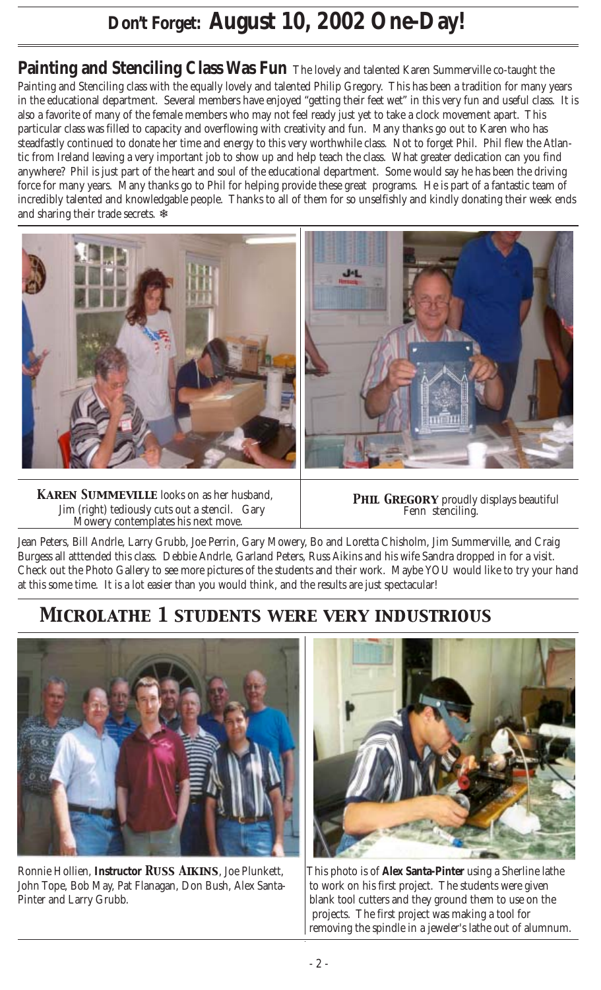## **Don't Forget: August 10, 2002 One-Day!**

**Painting and Stenciling Class Was Fun** The lovely and talented Karen Summerville co-taught the Painting and Stenciling class with the equally lovely and talented Philip Gregory. This has been a tradition for many years in the educational department. Several members have enjoyed "getting their feet wet" in this very fun and useful class. It is also a favorite of many of the female members who may not feel ready just yet to take a clock movement apart. This particular class was filled to capacity and overflowing with creativity and fun. Many thanks go out to Karen who has steadfastly continued to donate her time and energy to this very worthwhile class. Not to forget Phil. Phil flew the Atlantic from Ireland leaving a very important job to show up and help teach the class. What greater dedication can you find anywhere? Phil is just part of the heart and soul of the educational department. Some would say he has been the driving force for many years. Many thanks go to Phil for helping provide these great programs. He is part of a fantastic team of incredibly talented and knowledgable people. Thanks to all of them for so unselfishly and kindly donating their week ends and sharing their trade secrets. ❄



 *Karen Summeville* looks on as her husband, Jim (right) tediously cuts out a stencil. Gary Mowery contemplates his next move.



**PHIL GREGORY** proudly displays beautiful Fenn stenciling.

Jean Peters, Bill Andrle, Larry Grubb, Joe Perrin, Gary Mowery, Bo and Loretta Chisholm, Jim Summerville, and Craig Burgess all atttended this class. Debbie Andrle, Garland Peters, Russ Aikins and his wife Sandra dropped in for a visit. Check out the Photo Gallery to see more pictures of the students and their work. Maybe YOU would like to try your hand at this some time. It is a lot easier than you would think, and the results are just spectacular!

## *Microlathe 1 students were very industrious*



Ronnie Hollien, **Instructor** *Russ Aikins*, Joe Plunkett, This photo is of **Alex Santa-Pinter** using a Sherline lathe John Tope, Bob May, Pat Flanagan, Don Bush, Alex Santa- to work on his first project. The students were given Pinter and Larry Grubb. blank tool cutters and they ground them to use on the



 projects. The first project was making a tool for removing the spindle in a jeweler's lathe out of alumnum.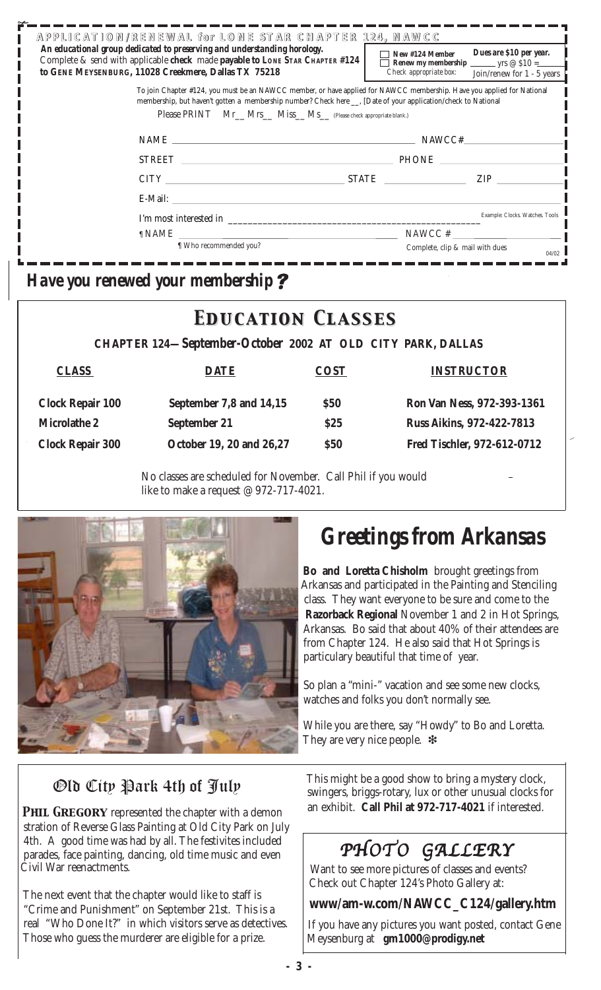| APPLICATION/RENEWAL for LONE STAR CHAPTER 124. NAWCC<br>An educational group dedicated to preserving and understanding horology.<br>Complete & send with applicable check made payable to LONE STAR CHAPTER #124<br>to GENE MEYSENBURG, 11028 Creekmere, Dallas TX 75218                                  | Dues are \$10 per year.<br>New #124 Member<br>Check appropriate box:<br>Join/renew for 1 - 5 years |  |  |  |
|-----------------------------------------------------------------------------------------------------------------------------------------------------------------------------------------------------------------------------------------------------------------------------------------------------------|----------------------------------------------------------------------------------------------------|--|--|--|
| To join Chapter #124, you must be an NAWCC member, or have applied for NAWCC membership. Have you applied for National<br>membership, but haven't gotten a membership number? Check here __, [Date of your application/check to National<br>Please PRINT Mr_Mrs_Miss_Ms_(Please check appropriate blank.) |                                                                                                    |  |  |  |
|                                                                                                                                                                                                                                                                                                           | NAWCC#                                                                                             |  |  |  |
|                                                                                                                                                                                                                                                                                                           | STREET PHONE PHONE                                                                                 |  |  |  |
|                                                                                                                                                                                                                                                                                                           | ZIP <b>Example</b><br>$CITY$ STATE $\overline{\phantom{a}}$                                        |  |  |  |
|                                                                                                                                                                                                                                                                                                           |                                                                                                    |  |  |  |
| I'm most interested in                                                                                                                                                                                                                                                                                    | Example: Clocks. Watches. Tools                                                                    |  |  |  |
| ¶ NAME                                                                                                                                                                                                                                                                                                    | NAWCC#                                                                                             |  |  |  |
| If Who recommended you?                                                                                                                                                                                                                                                                                   | Complete, clip & mail with dues<br>04/02                                                           |  |  |  |

 *Have you renewed your membership*

## *Education Classes Education Classes*

 **CHAPTER 124—***September-October* **2002 AT OLD CITY PARK, DALLAS**

| <b>CLASS</b>            | <b>DATE</b>              | <b>COST</b> | <b>INSTRUCTOR</b>                |
|-------------------------|--------------------------|-------------|----------------------------------|
| <b>Clock Repair 100</b> | September 7,8 and 14,15  | \$50        | Ron Van Ness, 972-393-1361       |
| <b>Microlathe 2</b>     | September 21             | \$25        | <b>Russ Aikins, 972-422-7813</b> |
| <b>Clock Repair 300</b> | October 19, 20 and 26,27 | \$50        | Fred Tischler, 972-612-0712      |
|                         |                          |             |                                  |

No classes are scheduled for November. Call Phil if you would like to make a request @ 972-717-4021.



# *Greetings from Arkansas*

 **Bo and Loretta Chisholm** brought greetings from Arkansas and participated in the Painting and Stenciling class. They want everyone to be sure and come to the **Razorback Regional** November 1 and 2 in Hot Springs, Arkansas. Bo said that about 40% of their attendees are from Chapter 124. He also said that Hot Springs is particulary beautiful that time of year.

 So plan a "mini-" vacation and see some new clocks, watches and folks you don't normally see.

 While you are there, say "Howdy" to Bo and Loretta. They are very nice people.  $*$ 

#### Old City Park 4th of July

**PHIL GREGORY** represented the chapter with a demon stration of Reverse Glass Painting at Old City Park on July 4th. A good time was had by all. The festivites included parades, face painting, dancing, old time music and even Civil War reenactments.

 The next event that the chapter would like to staff is "Crime and Punishment" on September 21st. This is a real "Who Done It?" in which visitors serve as detectives. Those who guess the murderer are eligible for a prize.

 This might be a good show to bring a mystery clock, an exhibit. **Call Phil at 972-717-4021** if interested. swingers, briggs-rotary, lux or other unusual clocks for

## PHOTO GALLERY

 Want to see more pictures of classes and events? Check out Chapter 124's Photo Gallery at:

**www/am-w.com/NAWCC\_C124/gallery.htm**

 If you have any pictures you want posted, contact Gene Meysenburg at **gm1000@prodigy.net**